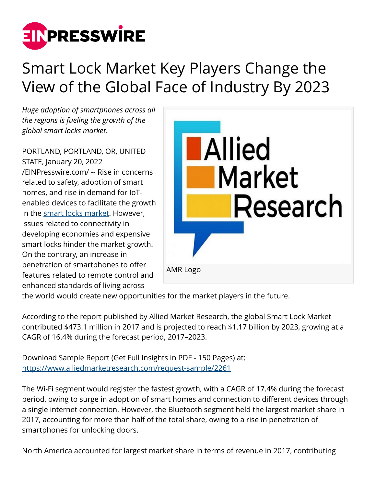

## Smart Lock Market Key Players Change the View of the Global Face of Industry By 2023

*Huge adoption of smartphones across all the regions is fueling the growth of the global smart locks market.*

PORTLAND, PORTLAND, OR, UNITED STATE, January 20, 2022 [/EINPresswire.com/](http://www.einpresswire.com) -- Rise in concerns related to safety, adoption of smart homes, and rise in demand for IoTenabled devices to facilitate the growth in the [smart locks market.](https://www.alliedmarketresearch.com/smart-locks-market) However, issues related to connectivity in developing economies and expensive smart locks hinder the market growth. On the contrary, an increase in penetration of smartphones to offer features related to remote control and enhanced standards of living across



the world would create new opportunities for the market players in the future.

According to the report published by Allied Market Research, the global Smart Lock Market contributed \$473.1 million in 2017 and is projected to reach \$1.17 billion by 2023, growing at a CAGR of 16.4% during the forecast period, 2017–2023.

Download Sample Report (Get Full Insights in PDF - 150 Pages) at: <https://www.alliedmarketresearch.com/request-sample/2261>

The Wi-Fi segment would register the fastest growth, with a CAGR of 17.4% during the forecast period, owing to surge in adoption of smart homes and connection to different devices through a single internet connection. However, the Bluetooth segment held the largest market share in 2017, accounting for more than half of the total share, owing to a rise in penetration of smartphones for unlocking doors.

North America accounted for largest market share in terms of revenue in 2017, contributing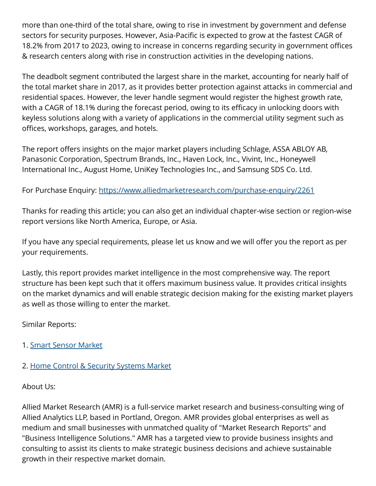more than one-third of the total share, owing to rise in investment by government and defense sectors for security purposes. However, Asia-Pacific is expected to grow at the fastest CAGR of 18.2% from 2017 to 2023, owing to increase in concerns regarding security in government offices & research centers along with rise in construction activities in the developing nations.

The deadbolt segment contributed the largest share in the market, accounting for nearly half of the total market share in 2017, as it provides better protection against attacks in commercial and residential spaces. However, the lever handle segment would register the highest growth rate, with a CAGR of 18.1% during the forecast period, owing to its efficacy in unlocking doors with keyless solutions along with a variety of applications in the commercial utility segment such as offices, workshops, garages, and hotels.

The report offers insights on the major market players including Schlage, ASSA ABLOY AB, Panasonic Corporation, Spectrum Brands, Inc., Haven Lock, Inc., Vivint, Inc., Honeywell International Inc., August Home, UniKey Technologies Inc., and Samsung SDS Co. Ltd.

For Purchase Enquiry: <https://www.alliedmarketresearch.com/purchase-enquiry/2261>

Thanks for reading this article; you can also get an individual chapter-wise section or region-wise report versions like North America, Europe, or Asia.

If you have any special requirements, please let us know and we will offer you the report as per your requirements.

Lastly, this report provides market intelligence in the most comprehensive way. The report structure has been kept such that it offers maximum business value. It provides critical insights on the market dynamics and will enable strategic decision making for the existing market players as well as those willing to enter the market.

Similar Reports:

- 1. [Smart Sensor Market](https://www.alliedmarketresearch.com/smart-sensor-industry-transportation-system-infrastructure-aerospace-market)
- 2. [Home Control & Security Systems Market](https://www.alliedmarketresearch.com/home-control-and-security-systems-market)

About Us:

Allied Market Research (AMR) is a full-service market research and business-consulting wing of Allied Analytics LLP, based in Portland, Oregon. AMR provides global enterprises as well as medium and small businesses with unmatched quality of "Market Research Reports" and "Business Intelligence Solutions." AMR has a targeted view to provide business insights and consulting to assist its clients to make strategic business decisions and achieve sustainable growth in their respective market domain.